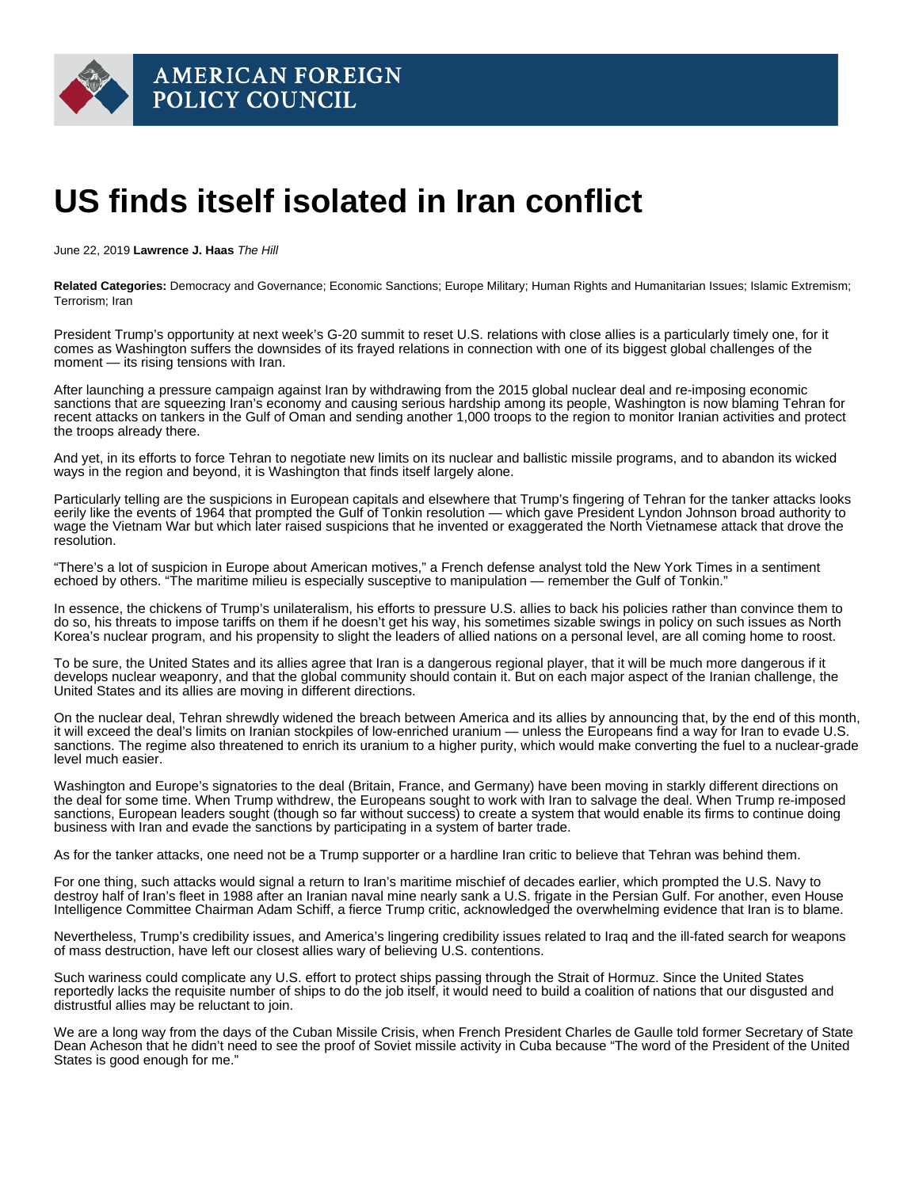## US finds itself isolated in Iran conflict

June 22, 2019 Lawrence J. Haas The Hill

Related Categories: Democracy and Governance; Economic Sanctions; Europe Military; Human Rights and Humanitarian Issues; Islamic Extremism; Terrorism; Iran

[President Trump'](https://thehill.com/people/donald-trump)s opportunity at next week's G-20 summit to reset U.S. relations with close allies is a particularly timely one, for it comes as Washington suffers the downsides of its frayed relations in connection with one of its biggest global challenges of the moment — its rising tensions with Iran.

After launching a pressure campaign against Iran by withdrawing from the 2015 global nuclear deal and re-imposing economic sanctions that are [squeezing Iran's economy](https://en.radiofarda.com/a/iran-reports-a-huge-drop-in-gdp-as-sanctions-halt-oil-exports/30005248.html) and causing serious hardship among its people, Washington is now blaming Tehran for recent attacks on tankers in the Gulf of Oman and [sending another 1,000 troops to the region](https://www.nytimes.com/2019/06/17/world/middleeast/iran-nuclear-deal-compliance.html) to monitor Iranian activities and protect the troops already there.

And yet, in its efforts to force Tehran to negotiate new limits on its nuclear and ballistic missile programs, and to abandon its wicked ways in the region and beyond, it is Washington that finds itself [largely alone](https://www.nytimes.com/2019/06/17/opinion/iran-america-crisis.html).

Particularly telling are the suspicions in European capitals and elsewhere that Trump's fingering of Tehran for the tanker attacks looks eerily like the events of 1964 that prompted the Gulf of Tonkin resolution — which gave President Lyndon Johnson broad authority to wage the Vietnam War but which later raised suspicions that he invented or exaggerated the North Vietnamese attack that drove the resolution.

"There's a lot of suspicion in Europe about American motives," [a French defense analyst told the New York Times](https://www.nytimes.com/2019/06/14/world/europe/tanker-europe-strait-of-hormuz.html) in a sentiment echoed by others. "The maritime milieu is especially susceptive to manipulation — remember the Gulf of Tonkin."

In essence, the chickens of Trump's unilateralism, his efforts to pressure U.S. allies to back his policies rather than convince them to do so, his threats to impose tariffs on them if he doesn't get his way, his sometimes sizable swings in policy on such issues as North Korea's nuclear program, and his propensity to slight the leaders of allied nations on a personal level, are all coming home to roost.

To be sure, the United States and its allies agree that Iran is a dangerous regional player, that it will be much more dangerous if it develops nuclear weaponry, and that the global community should contain it. But on each major aspect of the Iranian challenge, the United States and its allies are moving in different directions.

On the nuclear deal, Tehran shrewdly widened the breach between America and its allies by announcing that, by the end of this month, it [will exceed the deal's limits](https://www.cnn.com/2019/06/17/middleeast/iran-nuclear-deal-stockpile-intl/index.html) on Iranian stockpiles of low-enriched uranium — unless the Europeans find a way for Iran to evade U.S. sanctions. The regime also threatened to enrich its uranium to a higher purity, which would make converting the fuel to a nuclear-grade level much easier.

Washington and Europe's signatories to the deal (Britain, France, and Germany) have been moving in starkly different directions on the deal for some time. When Trump withdrew, the Europeans sought to work with Iran to salvage the deal. When Trump re-imposed sanctions, European leaders sought (though so far without success) to create a system that would enable its firms to continue doing business with Iran and evade the sanctions by participating in [a system of barter trade](https://thehill.com/opinion/international/Europeans seek barter trade system with Iran: https:/www.nytimes.com/2019/06/17/world/middleeast/iran-nuclear-deal-compliance.html).

As for the tanker attacks, one need not be a Trump supporter or a hardline Iran critic to believe that Tehran was behind them.

For one thing, such attacks would signal [a return to Iran's maritime mischief of decades earlier,](https://www.nytimes.com/2019/06/14/opinion/iran-oil-tanker-attack.html?action=click&module=RelatedLinks&pgtype=Article) which prompted the U.S. Navy to destroy half of Iran's fleet in 1988 after an Iranian naval mine nearly sank a U.S. frigate in the Persian Gulf. For another, even House Intelligence Committee Chairman [Adam Schiff](https://thehill.com/people/adam-schiff), a fierce Trump critic, [acknowledged the overwhelming evidence that Iran is to blame.](https://www.nytimes.com/2019/06/17/us/politics/trump-iran-nuclear-deal.html)

Nevertheless, Trump's credibility issues, and America's lingering credibility issues related to Iraq and the ill-fated search for weapons of mass destruction, have left our closest allies wary of believing U.S. contentions.

Such wariness could complicate any U.S. effort to protect ships passing through the Strait of Hormuz. Since the United States reportedly [lacks the requisite number of ships to do the job itself](https://www.nytimes.com/2019/06/17/us/politics/trump-iran-nuclear-deal.html), it would need to build a coalition of nations that our disgusted and distrustful allies may be reluctant to join.

We are a long way from the days of the Cuban Missile Crisis, when French President Charles de Gaulle told former Secretary of State Dean Acheson that he didn't need to see the proof of Soviet missile activity in Cuba because "[The word of the President of the United](https://www.nytimes.com/2008/06/13/opinion/13iht-edbeam.1.13693498.html)  [States is good enough for me.](https://www.nytimes.com/2008/06/13/opinion/13iht-edbeam.1.13693498.html)"